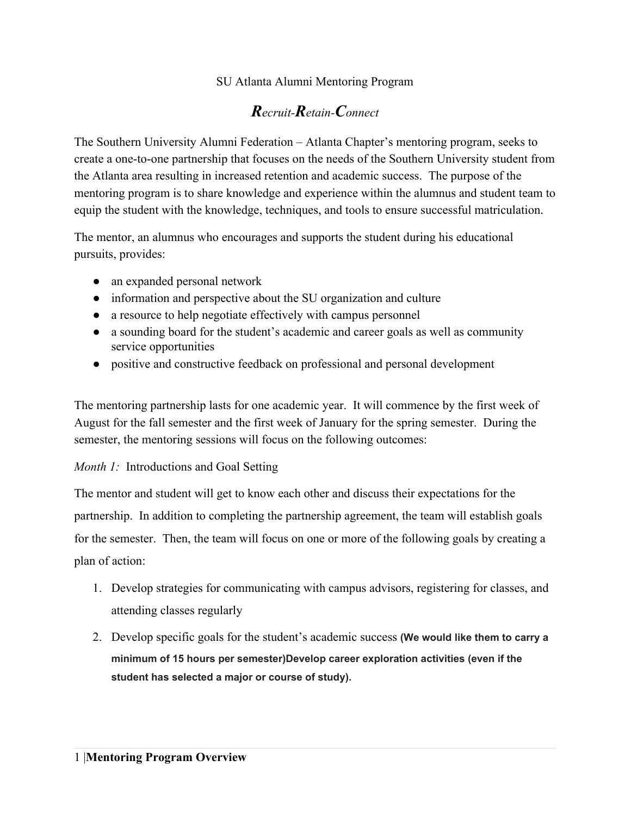# SU Atlanta Alumni Mentoring Program

# *Recruit-Retain-Connect*

The Southern University Alumni Federation – Atlanta Chapter's mentoring program, seeks to create a one-to-one partnership that focuses on the needs of the Southern University student from the Atlanta area resulting in increased retention and academic success. The purpose of the mentoring program is to share knowledge and experience within the alumnus and student team to equip the student with the knowledge, techniques, and tools to ensure successful matriculation.

The mentor, an alumnus who encourages and supports the student during his educational pursuits, provides:

- an expanded personal network
- information and perspective about the SU organization and culture
- a resource to help negotiate effectively with campus personnel
- a sounding board for the student's academic and career goals as well as community service opportunities
- positive and constructive feedback on professional and personal development

The mentoring partnership lasts for one academic year. It will commence by the first week of August for the fall semester and the first week of January for the spring semester. During the semester, the mentoring sessions will focus on the following outcomes:

## *Month 1:* Introductions and Goal Setting

The mentor and student will get to know each other and discuss their expectations for the partnership. In addition to completing the partnership agreement, the team will establish goals for the semester. Then, the team will focus on one or more of the following goals by creating a plan of action:

- 1. Develop strategies for communicating with campus advisors, registering for classes, and attending classes regularly
- 2. Develop specific goals for the student's academic success **(We would like them to carry a minimum of 15 hours per semester)Develop career exploration activities (even if the student has selected a major or course of study).**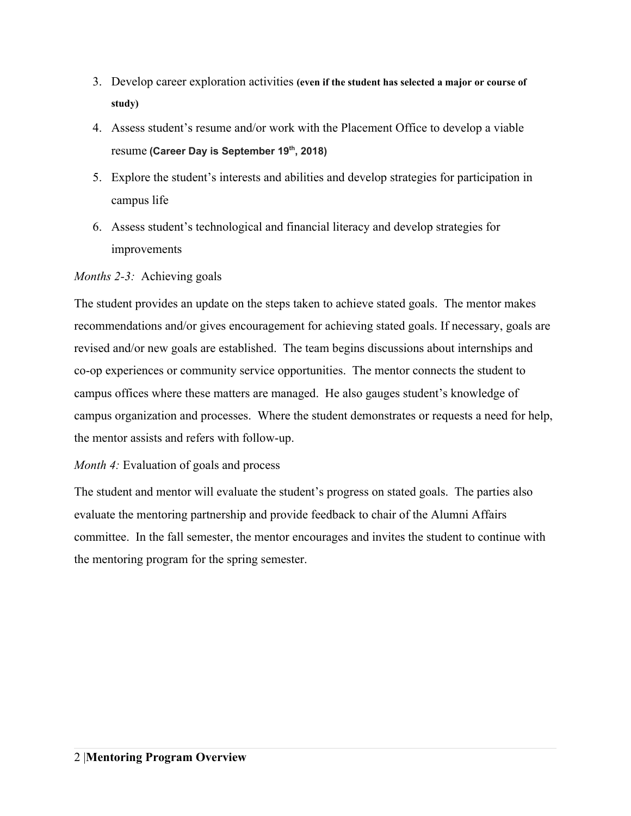- 3. Develop career exploration activities **(even if the student has selected a major or course of study)**
- 4. Assess student's resume and/or work with the Placement Office to develop a viable resume **(Career Day is September <sup>19</sup> th , 2018)**
- 5. Explore the student's interests and abilities and develop strategies for participation in campus life
- 6. Assess student's technological and financial literacy and develop strategies for improvements

#### *Months 2-3:* Achieving goals

The student provides an update on the steps taken to achieve stated goals. The mentor makes recommendations and/or gives encouragement for achieving stated goals. If necessary, goals are revised and/or new goals are established. The team begins discussions about internships and co-op experiences or community service opportunities. The mentor connects the student to campus offices where these matters are managed. He also gauges student's knowledge of campus organization and processes. Where the student demonstrates or requests a need for help, the mentor assists and refers with follow-up.

## *Month 4:* Evaluation of goals and process

The student and mentor will evaluate the student's progress on stated goals. The parties also evaluate the mentoring partnership and provide feedback to chair of the Alumni Affairs committee. In the fall semester, the mentor encourages and invites the student to continue with the mentoring program for the spring semester.